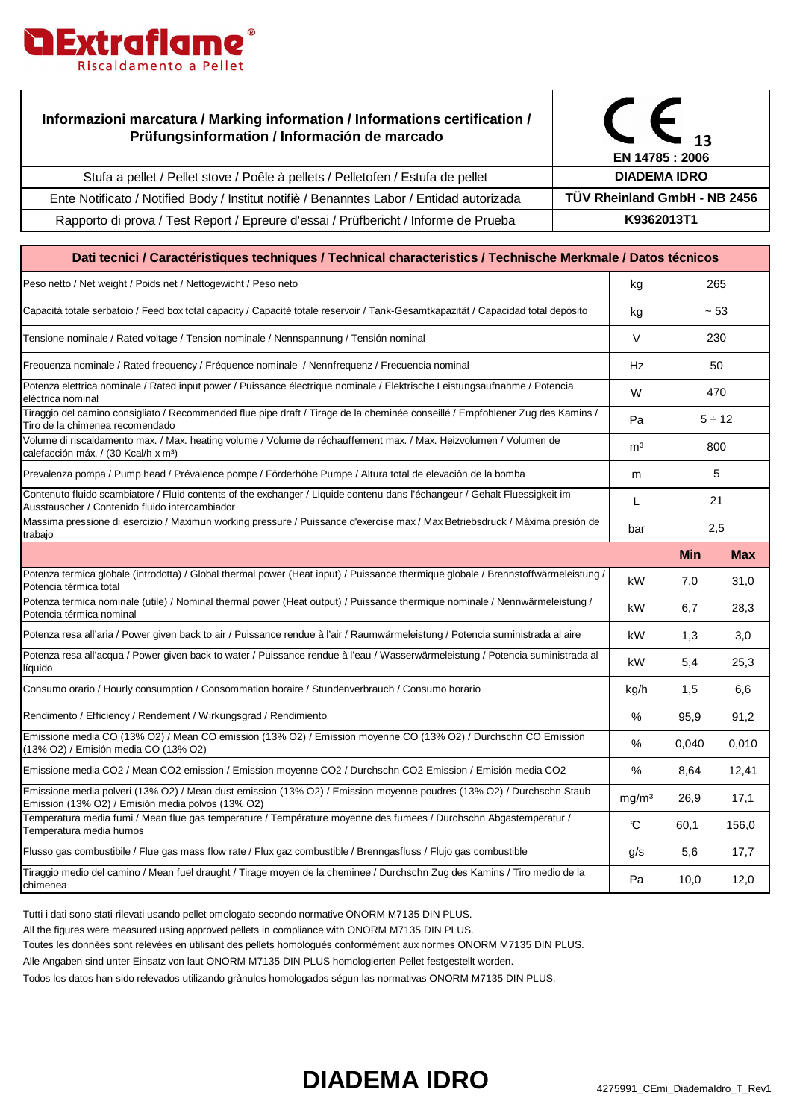

## **Informazioni marcatura / Marking information / Informations certification / Prüfungsinformation / Información de marcado**



Ente Notificato / Notified Body / Institut notifiè / Benanntes Labor / Entidad autorizada Rapporto di prova / Test Report / Epreure d'essai / Prüfbericht / Informe de Prueba

Stufa a pellet / Pellet stove / Poêle à pellets / Pelletofen / Estufa de pellet

| Dati tecnici / Caractéristiques techniques / Technical characteristics / Technische Merkmale / Datos técnicos                                                                |                   |             |            |  |  |
|------------------------------------------------------------------------------------------------------------------------------------------------------------------------------|-------------------|-------------|------------|--|--|
| Peso netto / Net weight / Poids net / Nettogewicht / Peso neto                                                                                                               | kg                | 265         |            |  |  |
| Capacità totale serbatoio / Feed box total capacity / Capacité totale reservoir / Tank-Gesamtkapazität / Capacidad total depósito                                            | kg                | ~53         |            |  |  |
| Tensione nominale / Rated voltage / Tension nominale / Nennspannung / Tensión nominal                                                                                        | $\vee$            | 230         |            |  |  |
| Frequenza nominale / Rated frequency / Fréquence nominale / Nennfrequenz / Frecuencia nominal                                                                                | Hz                | 50          |            |  |  |
| Potenza elettrica nominale / Rated input power / Puissance électrique nominale / Elektrische Leistungsaufnahme / Potencia<br>eléctrica nominal                               | W                 | 470         |            |  |  |
| Tiraggio del camino consigliato / Recommended flue pipe draft / Tirage de la cheminée conseillé / Empfohlener Zug des Kamins /<br>Tiro de la chimenea recomendado            | Pa                | $5 \div 12$ |            |  |  |
| Volume di riscaldamento max. / Max. heating volume / Volume de réchauffement max. / Max. Heizvolumen / Volumen de<br>calefacción máx. / (30 Kcal/h x m <sup>3</sup> )        | m <sup>3</sup>    | 800         |            |  |  |
| Prevalenza pompa / Pump head / Prévalence pompe / Förderhöhe Pumpe / Altura total de elevación de la bomba                                                                   | m                 | 5           |            |  |  |
| Contenuto fluido scambiatore / Fluid contents of the exchanger / Liquide contenu dans l'échangeur / Gehalt Fluessigkeit im<br>Ausstauscher / Contenido fluido intercambiador | L                 | 21          |            |  |  |
| Massima pressione di esercizio / Maximun working pressure / Puissance d'exercise max / Max Betriebsdruck / Máxima presión de<br>trabajo                                      | bar               | 2,5         |            |  |  |
|                                                                                                                                                                              |                   | <b>Min</b>  | <b>Max</b> |  |  |
| Potenza termica globale (introdotta) / Global thermal power (Heat input) / Puissance thermique globale / Brennstoffwärmeleistung /<br>Potencia térmica total                 | kW                | 7,0         | 31,0       |  |  |
| Potenza termica nominale (utile) / Nominal thermal power (Heat output) / Puissance thermique nominale / Nennwärmeleistung /<br>Potencia térmica nominal                      | kW                | 6,7         | 28,3       |  |  |
| Potenza resa all'aria / Power given back to air / Puissance rendue à l'air / Raumwärmeleistung / Potencia suministrada al aire                                               | kW                | 1,3         | 3,0        |  |  |
| Potenza resa all'acqua / Power given back to water / Puissance rendue à l'eau / Wasserwärmeleistung / Potencia suministrada al<br>líquido                                    | kW                | 5,4         | 25,3       |  |  |
| Consumo orario / Hourly consumption / Consommation horaire / Stundenverbrauch / Consumo horario                                                                              | kg/h              | 1,5         | 6.6        |  |  |
| Rendimento / Efficiency / Rendement / Wirkungsgrad / Rendimiento                                                                                                             | $\%$              | 95,9        | 91,2       |  |  |
| Emissione media CO (13% O2) / Mean CO emission (13% O2) / Emission moyenne CO (13% O2) / Durchschn CO Emission<br>(13% O2) / Emisión media CO (13% O2)                       | $\%$              | 0,040       | 0,010      |  |  |
| Emissione media CO2 / Mean CO2 emission / Emission moyenne CO2 / Durchschn CO2 Emission / Emisión media CO2                                                                  | %                 | 8,64        | 12,41      |  |  |
| Emissione media polveri (13% O2) / Mean dust emission (13% O2) / Emission moyenne poudres (13% O2) / Durchschn Staub<br>Emission (13% O2) / Emisión media polvos (13% O2)    | mg/m <sup>3</sup> | 26,9        | 17,1       |  |  |
| Temperatura media fumi / Mean flue gas temperature / Température moyenne des fumees / Durchschn Abgastemperatur /<br>Temperatura media humos                                 | $\mathbf c$       | 60,1        | 156.0      |  |  |
| Flusso gas combustibile / Flue gas mass flow rate / Flux gaz combustible / Brenngasfluss / Flujo gas combustible                                                             | q/s               | 5,6         | 17,7       |  |  |
| Tiraggio medio del camino / Mean fuel draught / Tirage moyen de la cheminee / Durchschn Zug des Kamins / Tiro medio de la<br>chimenea                                        | Pa                | 10,0        | 12,0       |  |  |

Tutti i dati sono stati rilevati usando pellet omologato secondo normative ONORM M7135 DIN PLUS.

All the figures were measured using approved pellets in compliance with ONORM M7135 DIN PLUS.

Toutes les données sont relevées en utilisant des pellets homologués conformément aux normes ONORM M7135 DIN PLUS.

Alle Angaben sind unter Einsatz von laut ONORM M7135 DIN PLUS homologierten Pellet festgestellt worden.

Todos los datos han sido relevados utilizando grànulos homologados ségun las normativas ONORM M7135 DIN PLUS.

## **DIADEMA IDRO** 4275991\_CEmi\_DiademaIdro\_T\_Rev1